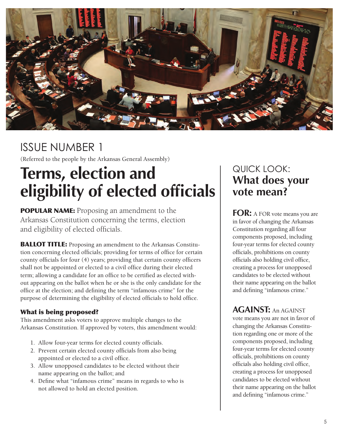

# ISSUE NUMBER 1

(Referred to the people by the Arkansas General Assembly)

# **Terms, election and eligibility of elected officials**

**POPULAR NAME:** Proposing an amendment to the Arkansas Constitution concerning the terms, election and eligibility of elected officials.

**BALLOT TITLE:** Proposing an amendment to the Arkansas Constitution concerning elected officials; providing for terms of office for certain county officials for four (4) years; providing that certain county officers shall not be appointed or elected to a civil office during their elected term; allowing a candidate for an offce to be certifed as elected without appearing on the ballot when he or she is the only candidate for the offce at the election; and defning the term "infamous crime" for the purpose of determining the eligibility of elected officials to hold office.

### What is being proposed?

This amendment asks voters to approve multiple changes to the Arkansas Constitution. If approved by voters, this amendment would:

- 1. Allow four-year terms for elected county offcials.
- 2. Prevent certain elected county officials from also being appointed or elected to a civil office.
- 3. Allow unopposed candidates to be elected without their name appearing on the ballot; and
- 4. Defne what "infamous crime" means in regards to who is not allowed to hold an elected position.

# QUICK LOOK: **What does your vote mean?**

 and defning "infamous crime." **FOR:** A FOR vote means you are in favor of changing the Arkansas Constitution regarding all four components proposed, including four-year terms for elected county offcials, prohibitions on county officials also holding civil office, creating a process for unopposed candidates to be elected without their name appearing on the ballot

**AGAINST:** An AGAINST vote means you are not in favor of changing the Arkansas Constitution regarding one or more of the components proposed, including four-year terms for elected county offcials, prohibitions on county officials also holding civil office, creating a process for unopposed candidates to be elected without their name appearing on the ballot and defning "infamous crime."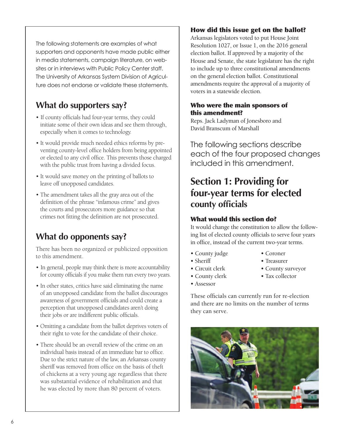The following statements are examples of what supporters and opponents have made public either in media statements, campaign literature, on websites or in interviews with Public Policy Center staff. The University of Arkansas System Division of Agriculture does not endorse or validate these statements.

# **What do supporters say?**

- If county officials had four-year terms, they could initiate some of their own ideas and see them through, especially when it comes to technology.
- It would provide much needed ethics reforms by preventing county-level office holders from being appointed or elected to any civil office. This prevents those charged with the public trust from having a divided focus.
- It would save money on the printing of ballots to leave off unopposed candidates.
- The amendment takes all the gray area out of the defnition of the phrase "infamous crime" and gives the courts and prosecutors more guidance so that crimes not ftting the defnition are not prosecuted.

# **What do opponents say?**

There has been no organized or publicized opposition to this amendment.

- In general, people may think there is more accountability for county officials if you make them run every two years.
- In other states, critics have said eliminating the name of an unopposed candidate from the ballot discourages awareness of government officials and could create a perception that unopposed candidates aren't doing their jobs or are indifferent public officials.
- Omitting a candidate from the ballot deprives voters of their right to vote for the candidate of their choice.
- There should be an overall review of the crime on an individual basis instead of an immediate bar to office. Due to the strict nature of the law, an Arkansas county sheriff was removed from office on the basis of theft of chickens at a very young age regardless that there was substantial evidence of rehabilitation and that he was elected by more than 80 percent of voters.

## How did this issue get on the ballot?

Arkansas legislators voted to put House Joint Resolution 1027, or Issue 1, on the 2016 general election ballot. If approved by a majority of the House and Senate, the state legislature has the right to include up to three constitutional amendments on the general election ballot. Constitutional amendments require the approval of a majority of voters in a statewide election.

## Who were the main sponsors of this amendment?

 David Branscum of Marshall Reps. Jack Ladyman of Jonesboro and

The following sections describe each of the four proposed changes included in this amendment.

# **Section 1: Providing for four-year terms for elected county officials**

### What would this section do?

It would change the constitution to allow the following list of elected county officials to serve four years in office, instead of the current two-year terms.

- County judge Coroner
- 
- 
- 
- 
- Sheriff Treasurer
- Circuit clerk County surveyor
- County clerk Tax collector
- Assessor

These officials can currently run for re-election and there are no limits on the number of terms they can serve.

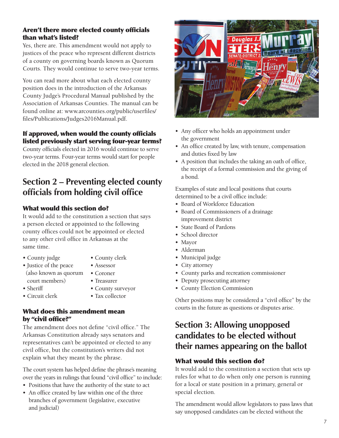#### Aren't there more elected county officials than what's listed?

Yes, there are. This amendment would not apply to justices of the peace who represent different districts of a county on governing boards known as Quorum Courts. They would continue to serve two-year terms.

You can read more about what each elected county position does in the introduction of the Arkansas County Judge's Procedural Manual published by the Association of Arkansas Counties. The manual can be found online at: [www.arcounties.org/public/userfles](www.arcounties.org/public/userfiles)/ fles/Publications/Judges2016Manual.pdf.

## If approved, when would the county officials listed previously start serving four-year terms?

County officials elected in 2016 would continue to serve two-year terms. Four-year terms would start for people elected in the 2018 general election.

## **Section 2 – Preventing elected county officials from holding civil office**

## What would this section do?

It would add to the constitution a section that says a person elected or appointed to the following county offices could not be appointed or elected to any other civil office in Arkansas at the same time.

• County judge

• Justice of the peace

court members)

- County clerk • Assessor
- (also known as quorum • Coroner
	- Treasurer
- Sheriff • Circuit clerk
- County surveyor • Tax collector

#### What does this amendment mean by "civil office?"

The amendment does not define "civil office." The Arkansas Constitution already says senators and representatives can't be appointed or elected to any civil offce, but the constitution's writers did not explain what they meant by the phrase.

The court system has helped defne the phrase's meaning over the years in rulings that found "civil office" to include:

- Positions that have the authority of the state to act
- An office created by law within one of the three branches of government (legislative, executive and judicial)



- Any officer who holds an appointment under the government
- An office created by law, with tenure, compensation and duties fxed by law
- A position that includes the taking an oath of office, the receipt of a formal commission and the giving of a bond.

Examples of state and local positions that courts determined to be a civil office include:

- Board of Workforce Education
- Board of Commissioners of a drainage improvement district
- State Board of Pardons
- School director
- Mayor
- Alderman
- Municipal judge
- City attorney
- County parks and recreation commissioner
- Deputy prosecuting attorney
- County Election Commission

Other positions may be considered a "civil office" by the courts in the future as questions or disputes arise.

## **Section 3: Allowing unopposed candidates to be elected without their names appearing on the ballot**

## What would this section do?

It would add to the constitution a section that sets up rules for what to do when only one person is running for a local or state position in a primary, general or special election.

The amendment would allow legislators to pass laws that say unopposed candidates can be elected without the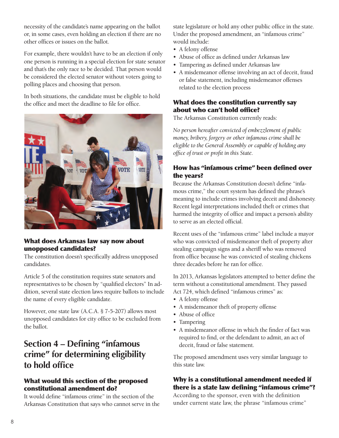necessity of the candidate's name appearing on the ballot or, in some cases, even holding an election if there are no other offces or issues on the ballot.

For example, there wouldn't have to be an election if only one person is running in a special election for state senator and that's the only race to be decided. That person would be considered the elected senator without voters going to polling places and choosing that person.

In both situations, the candidate must be eligible to hold the office and meet the deadline to file for office.



#### What does Arkansas law say now about unopposed candidates?

The constitution doesn't specifcally address unopposed candidates.

Article 5 of the constitution requires state senators and representatives to be chosen by "qualifed electors" In addition, several state election laws require ballots to include the name of every eligible candidate.

However, one state law (A.C.A. § 7-5-207) allows most unopposed candidates for city office to be excluded from the ballot.

## **Section 4 – Defining "infamous crime" for determining eligibility to hold office**

#### What would this section of the proposed constitutional amendment do?

It would defne "infamous crime" in the section of the Arkansas Constitution that says who cannot serve in the state legislature or hold any other public office in the state. Under the proposed amendment, an "infamous crime" would include:

- A felony offense
- Abuse of office as defined under Arkansas law
- Tampering as defned under Arkansas law
- A misdemeanor offense involving an act of deceit, fraud or false statement, including misdemeanor offenses related to the election process

## What does the constitution currently say about who can't hold office?

The Arkansas Constitution currently reads:

*No person hereafter convicted of embezzlement of public money, bribery, forgery or other infamous crime shall be eligible to the General Assembly or capable of holding any offce of trust or proft in this State.* 

### How has "infamous crime" been defined over the years?

Because the Arkansas Constitution doesn't defne "infamous crime," the court system has defned the phrase's meaning to include crimes involving deceit and dishonesty. Recent legal interpretations included theft or crimes that harmed the integrity of office and impact a person's ability to serve as an elected official.

three decades before he ran for office. Recent uses of the "infamous crime" label include a mayor who was convicted of misdemeanor theft of property after stealing campaign signs and a sheriff who was removed from office because he was convicted of stealing chickens

In 2013, Arkansas legislators attempted to better define the term without a constitutional amendment. They passed Act 724, which defned "infamous crimes" as:

- A felony offense
- A misdemeanor theft of property offense
- Abuse of office
- Tampering
- A misdemeanor offense in which the fnder of fact was required to fnd, or the defendant to admit, an act of deceit, fraud or false statement.

The proposed amendment uses very similar language to this state law.

### Why is a constitutional amendment needed if there is a state law defining "infamous crime"?

According to the sponsor, even with the defnition under current state law, the phrase "infamous crime"